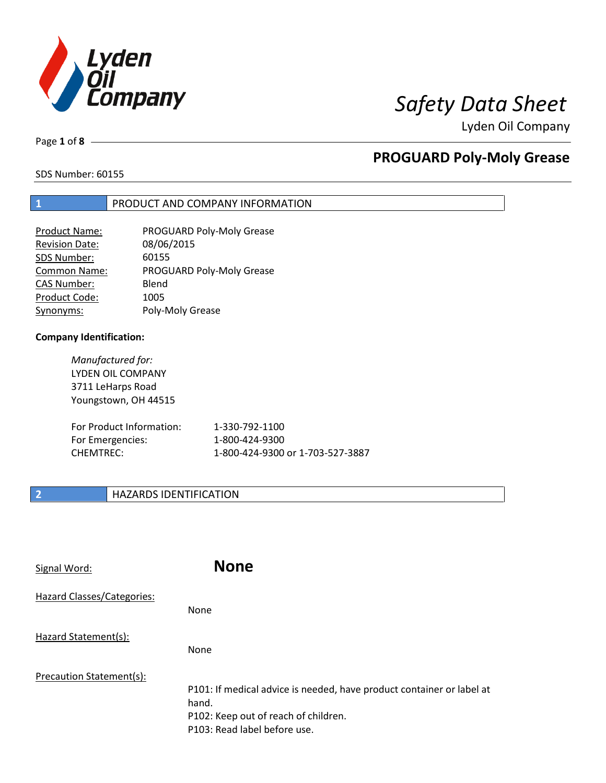

# *Safety Data Sheet*

Lyden Oil Company

Page **1** of **8**

## **PROGUARD Poly-Moly Grease**

SDS Number: 60155

### **1** PRODUCT AND COMPANY INFORMATION

| Product Name:         | PROGUARD Poly-Moly Grease |
|-----------------------|---------------------------|
| <b>Revision Date:</b> | 08/06/2015                |
| SDS Number:           | 60155                     |
| <b>Common Name:</b>   | PROGUARD Poly-Moly Grease |
| <b>CAS Number:</b>    | Blend                     |
| Product Code:         | 1005                      |
| Synonyms:             | Poly-Moly Grease          |

### **Company Identification:**

*Manufactured for:*  LYDEN OIL COMPANY 3711 LeHarps Road Youngstown, OH 44515

| For Product Information: | 1-330-792-1100                   |
|--------------------------|----------------------------------|
| For Emergencies:         | 1-800-424-9300                   |
| CHEMTREC:                | 1-800-424-9300 or 1-703-527-3887 |

### **2 HAZARDS IDENTIFICATION**

| Signal Word:               | <b>None</b>                                                                                                                                            |
|----------------------------|--------------------------------------------------------------------------------------------------------------------------------------------------------|
| Hazard Classes/Categories: | None                                                                                                                                                   |
| Hazard Statement(s):       | <b>None</b>                                                                                                                                            |
| Precaution Statement(s):   | P101: If medical advice is needed, have product container or label at<br>hand.<br>P102: Keep out of reach of children.<br>P103: Read label before use. |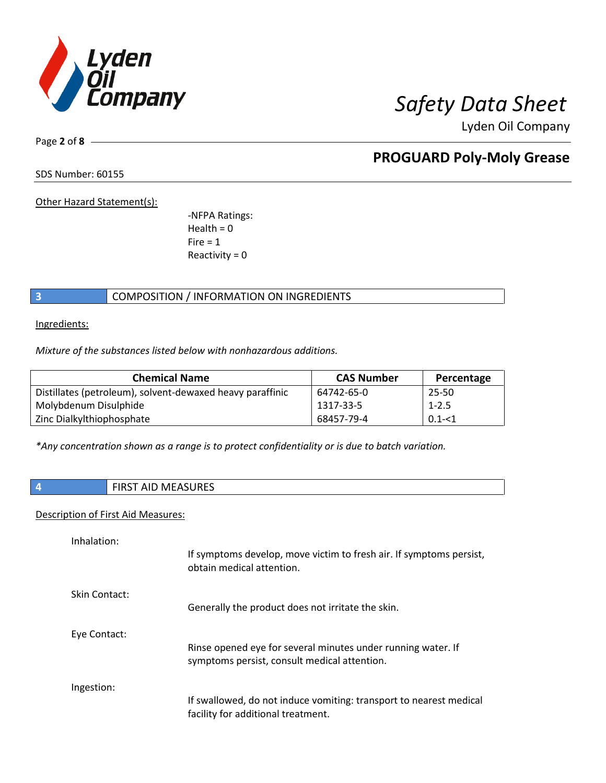

Page **2** of **8**

# **PROGUARD Poly-Moly Grease**

SDS Number: 60155

Other Hazard Statement(s):

-NFPA Ratings:  $Health = 0$  $Fire = 1$ Reactivity  $= 0$ 

### **3** COMPOSITION / INFORMATION ON INGREDIENTS

Ingredients:

*Mixture of the substances listed below with nonhazardous additions.*

| <b>Chemical Name</b>                                      | <b>CAS Number</b> | Percentage |
|-----------------------------------------------------------|-------------------|------------|
| Distillates (petroleum), solvent-dewaxed heavy paraffinic | 64742-65-0        | 25-50      |
| Molybdenum Disulphide                                     | 1317-33-5         | $1 - 2.5$  |
| Zinc Dialkylthiophosphate                                 | 68457-79-4        | $0.1 - 1$  |

*\*Any concentration shown as a range is to protect confidentiality or is due to batch variation.*

|  | AID<br><b>FIDCT</b><br>⊤ו כזוו | <b>MEASURES</b> |
|--|--------------------------------|-----------------|
|--|--------------------------------|-----------------|

### Description of First Aid Measures:

| Inhalation:   | If symptoms develop, move victim to fresh air. If symptoms persist,<br>obtain medical attention.             |
|---------------|--------------------------------------------------------------------------------------------------------------|
| Skin Contact: | Generally the product does not irritate the skin.                                                            |
| Eye Contact:  | Rinse opened eye for several minutes under running water. If<br>symptoms persist, consult medical attention. |
| Ingestion:    | If swallowed, do not induce vomiting: transport to nearest medical<br>facility for additional treatment.     |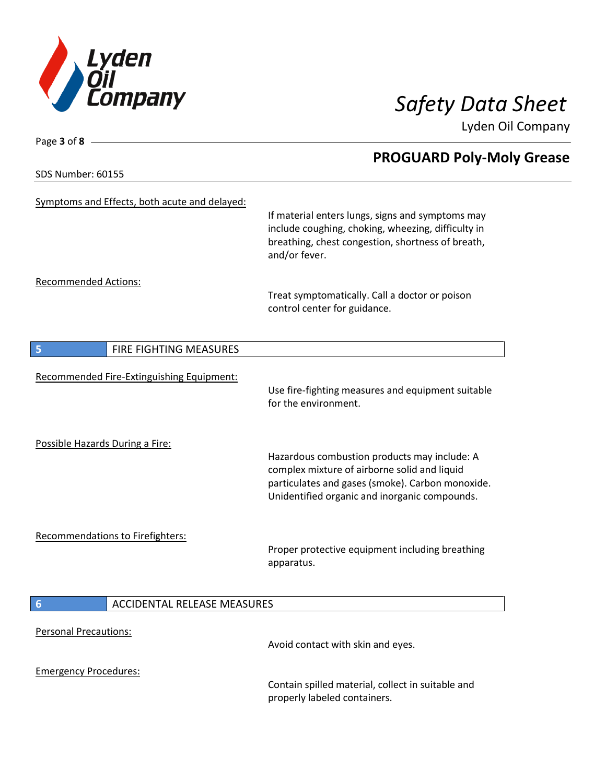

**PROGUARD Poly-Moly Grease**

Lyden Oil Company

SDS Number: 60155

Page **3** of **8**

| Symptoms and Effects, both acute and delayed:         | If material enters lungs, signs and symptoms may<br>include coughing, choking, wheezing, difficulty in<br>breathing, chest congestion, shortness of breath,<br>and/or fever.                      |
|-------------------------------------------------------|---------------------------------------------------------------------------------------------------------------------------------------------------------------------------------------------------|
| <b>Recommended Actions:</b>                           | Treat symptomatically. Call a doctor or poison<br>control center for guidance.                                                                                                                    |
| 5<br><b>FIRE FIGHTING MEASURES</b>                    |                                                                                                                                                                                                   |
| Recommended Fire-Extinguishing Equipment:             | Use fire-fighting measures and equipment suitable<br>for the environment.                                                                                                                         |
| Possible Hazards During a Fire:                       | Hazardous combustion products may include: A<br>complex mixture of airborne solid and liquid<br>particulates and gases (smoke). Carbon monoxide.<br>Unidentified organic and inorganic compounds. |
| <b>Recommendations to Firefighters:</b>               | Proper protective equipment including breathing<br>apparatus.                                                                                                                                     |
| <b>ACCIDENTAL RELEASE MEASURES</b><br>$6\phantom{1}6$ |                                                                                                                                                                                                   |
|                                                       |                                                                                                                                                                                                   |
| <b>Personal Precautions:</b>                          | Avoid contact with skin and eyes.                                                                                                                                                                 |
| <b>Emergency Procedures:</b>                          | Contain spilled material, collect in suitable and<br>properly labeled containers.                                                                                                                 |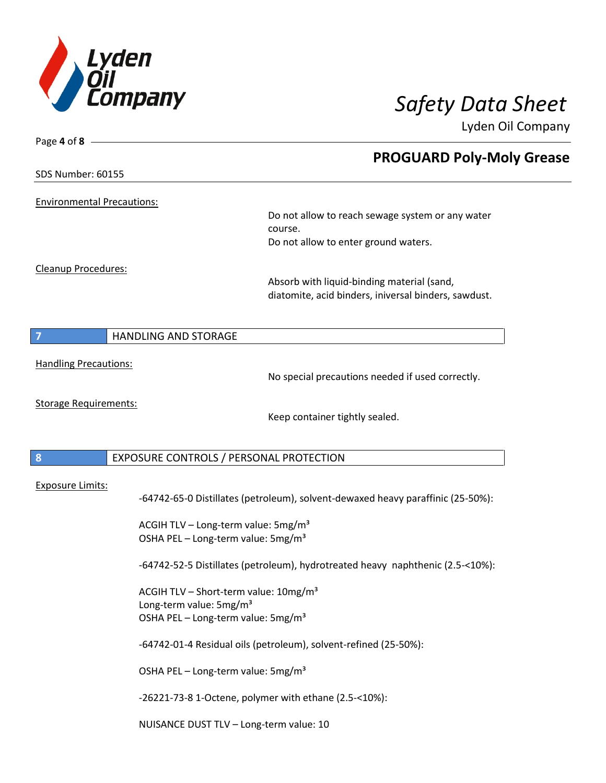

| Page 4 of 8                       |                                                                                                                                            |                                                                                                    |
|-----------------------------------|--------------------------------------------------------------------------------------------------------------------------------------------|----------------------------------------------------------------------------------------------------|
|                                   |                                                                                                                                            | <b>PROGUARD Poly-Moly Grease</b>                                                                   |
| SDS Number: 60155                 |                                                                                                                                            |                                                                                                    |
| <b>Environmental Precautions:</b> |                                                                                                                                            |                                                                                                    |
|                                   |                                                                                                                                            | Do not allow to reach sewage system or any water                                                   |
|                                   |                                                                                                                                            | course.<br>Do not allow to enter ground waters.                                                    |
| Cleanup Procedures:               |                                                                                                                                            |                                                                                                    |
|                                   |                                                                                                                                            | Absorb with liquid-binding material (sand,<br>diatomite, acid binders, iniversal binders, sawdust. |
|                                   | <b>HANDLING AND STORAGE</b>                                                                                                                |                                                                                                    |
|                                   |                                                                                                                                            |                                                                                                    |
| <b>Handling Precautions:</b>      |                                                                                                                                            | No special precautions needed if used correctly.                                                   |
| <b>Storage Requirements:</b>      |                                                                                                                                            | Keep container tightly sealed.                                                                     |
| 8                                 | EXPOSURE CONTROLS / PERSONAL PROTECTION                                                                                                    |                                                                                                    |
|                                   |                                                                                                                                            |                                                                                                    |
| Exposure Limits:                  |                                                                                                                                            | -64742-65-0 Distillates (petroleum), solvent-dewaxed heavy paraffinic (25-50%):                    |
|                                   | ACGIH TLV - Long-term value: 5mg/m <sup>3</sup><br>OSHA PEL - Long-term value: 5mg/m <sup>3</sup>                                          |                                                                                                    |
|                                   |                                                                                                                                            | -64742-52-5 Distillates (petroleum), hydrotreated heavy naphthenic (2.5-<10%):                     |
|                                   | ACGIH TLV - Short-term value: 10mg/m <sup>3</sup><br>Long-term value: 5mg/m <sup>3</sup><br>OSHA PEL - Long-term value: 5mg/m <sup>3</sup> |                                                                                                    |
|                                   | -64742-01-4 Residual oils (petroleum), solvent-refined (25-50%):                                                                           |                                                                                                    |
|                                   | OSHA PEL - Long-term value: 5mg/m <sup>3</sup>                                                                                             |                                                                                                    |
|                                   | -26221-73-8 1-Octene, polymer with ethane (2.5-<10%):                                                                                      |                                                                                                    |

NUISANCE DUST TLV – Long-term value: 10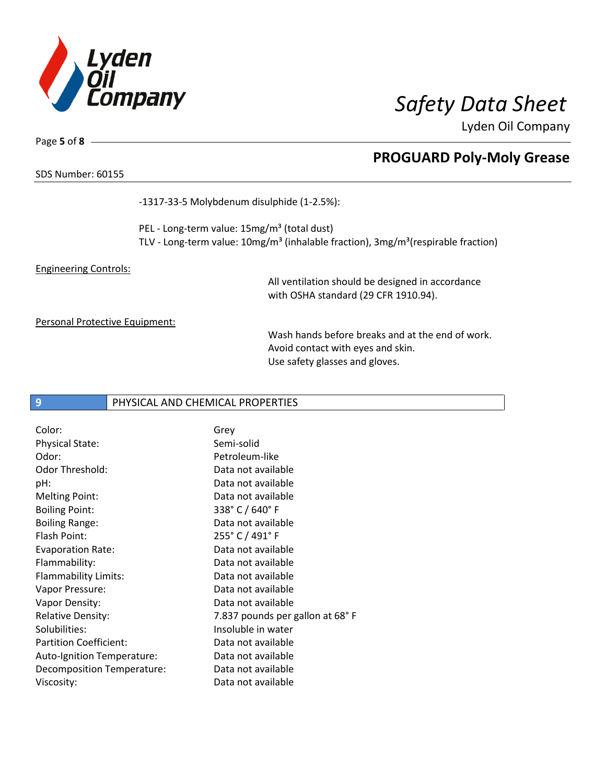

**PROGUARD Poly-Moly Grease**

Lyden Oil Company

Page **5** of **8**

### SDS Number: 60155

-1317-33-5 Molybdenum disulphide (1-2.5%):

PEL - Long-term value: 15mg/m<sup>3</sup> (total dust) TLV - Long-term value: 10mg/m<sup>3</sup> (inhalable fraction), 3mg/m<sup>3</sup>(respirable fraction)

### Engineering Controls:

All ventilation should be designed in accordance with OSHA standard (29 CFR 1910.94).

### Personal Protective Equipment:

Wash hands before breaks and at the end of work. Avoid contact with eyes and skin. Use safety glasses and gloves.

### **9 PHYSICAL AND CHEMICAL PROPERTIES**

| Color:                        | Grey                            |
|-------------------------------|---------------------------------|
| <b>Physical State:</b>        | Semi-solid                      |
| Odor:                         | Petroleum-like                  |
| <b>Odor Threshold:</b>        | Data not available              |
| pH:                           | Data not available              |
| <b>Melting Point:</b>         | Data not available              |
| <b>Boiling Point:</b>         | 338° C / 640° F                 |
| <b>Boiling Range:</b>         | Data not available              |
| Flash Point:                  | 255° C / 491° F                 |
| <b>Evaporation Rate:</b>      | Data not available              |
| Flammability:                 | Data not available              |
| Flammability Limits:          | Data not available              |
| Vapor Pressure:               | Data not available              |
| Vapor Density:                | Data not available              |
| <b>Relative Density:</b>      | 7.837 pounds per gallon at 68°F |
| Solubilities:                 | Insoluble in water              |
| <b>Partition Coefficient:</b> | Data not available              |
| Auto-Ignition Temperature:    | Data not available              |
| Decomposition Temperature:    | Data not available              |
| Viscosity:                    | Data not available              |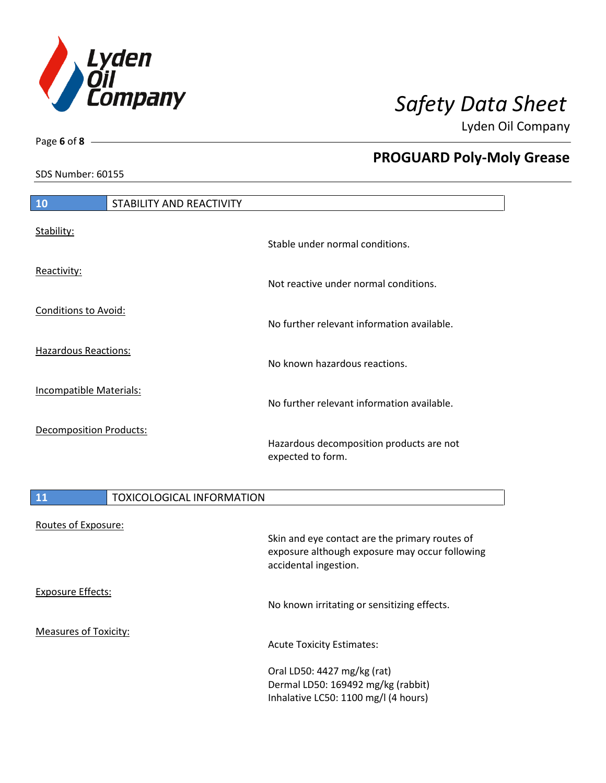

SDS Number: 60155

Page **6** of **8**

# **PROGUARD Poly-Moly Grease**

| 10                             | STABILITY AND REACTIVITY         |                                                               |
|--------------------------------|----------------------------------|---------------------------------------------------------------|
| Stability:                     |                                  | Stable under normal conditions.                               |
| Reactivity:                    |                                  | Not reactive under normal conditions.                         |
| Conditions to Avoid:           |                                  | No further relevant information available.                    |
| <b>Hazardous Reactions:</b>    |                                  | No known hazardous reactions.                                 |
| <b>Incompatible Materials:</b> |                                  | No further relevant information available.                    |
| <b>Decomposition Products:</b> |                                  | Hazardous decomposition products are not<br>expected to form. |
| 11                             | <b>TOXICOLOGICAL INFORMATION</b> |                                                               |

# Routes of Exposure: Skin and eye contact are the primary routes of exposure although exposure may occur following accidental ingestion. Exposure Effects: No known irritating or sensitizing effects. Measures of Toxicity: Acute Toxicity Estimates: Oral LD50: 4427 mg/kg (rat) Dermal LD50: 169492 mg/kg (rabbit) Inhalative LC50: 1100 mg/l (4 hours)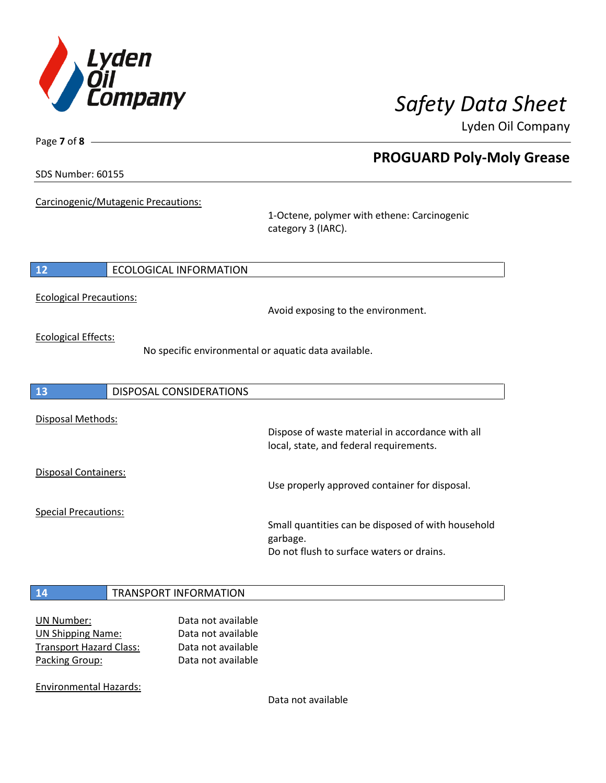

**PROGUARD Poly-Moly Grease**

Lyden Oil Company

SDS Number: 60155

Page **7** of **8**

Carcinogenic/Mutagenic Precautions:

1-Octene, polymer with ethene: Carcinogenic category 3 (IARC).

### **12** ECOLOGICAL INFORMATION

Ecological Precautions:

Avoid exposing to the environment.

Ecological Effects:

No specific environmental or aquatic data available.

| <b>13</b>                   | DISPOSAL CONSIDERATIONS |                                                                                                             |
|-----------------------------|-------------------------|-------------------------------------------------------------------------------------------------------------|
| Disposal Methods:           |                         | Dispose of waste material in accordance with all<br>local, state, and federal requirements.                 |
| Disposal Containers:        |                         | Use properly approved container for disposal.                                                               |
| <b>Special Precautions:</b> |                         | Small quantities can be disposed of with household<br>garbage.<br>Do not flush to surface waters or drains. |

### **14** TRANSPORT INFORMATION

UN Number: Data not available UN Shipping Name: Data not available Transport Hazard Class: Data not available Packing Group: Data not available

Environmental Hazards:

Data not available